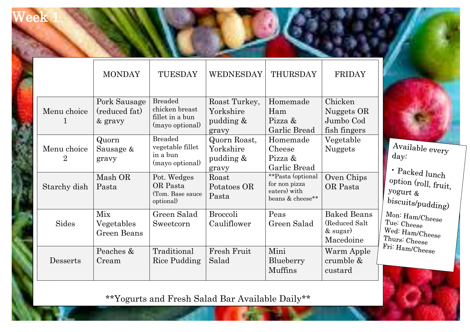## ee

 $\mathbf{r}$ 

I

|                               | <b>MONDAY</b>                            | TUESDAY                                                                | WEDNESDAY                                        | THURSDAY                                                               | <b>FRIDAY</b>                                                  |
|-------------------------------|------------------------------------------|------------------------------------------------------------------------|--------------------------------------------------|------------------------------------------------------------------------|----------------------------------------------------------------|
| Menu choice<br>1              | Pork Sausage<br>(reduced fat)<br>& gravy | <b>Breaded</b><br>chicken breast<br>fillet in a bun<br>(mayo optional) | Roast Turkey,<br>Yorkshire<br>pudding &<br>gravy | Homemade<br>Ham<br>Pizza &<br>Garlic Bread                             | Chicken<br>Nuggets OR<br>Jumbo Cod<br>fish fingers             |
| Menu choice<br>$\overline{2}$ | Quorn<br>Sausage &<br>gravy              | <b>Breaded</b><br>vegetable fillet<br>in a bun<br>(mayo optional)      | Quorn Roast,<br>Yorkshire<br>pudding &<br>gravy  | Homemade<br>Cheese<br>Pizza &<br>Garlic Bread                          | Vegetable<br><b>Nuggets</b>                                    |
| Starchy dish                  | Mash OR<br>Pasta                         | Pot. Wedges<br>OR Pasta<br>(Tom. Base sauce<br>optional)               | Roast<br>Potatoes OR<br>Pasta                    | **Pasta (optional<br>for non pizza<br>eaters) with<br>beans & cheese** | Oven Chips<br>OR Pasta                                         |
| Sides                         | Mix<br>Vegetables<br>Green Beans         | Green Salad<br>Sweetcorn                                               | <b>Broccoli</b><br>Cauliflower                   | Peas<br>Green Salad                                                    | <b>Baked Beans</b><br>(Reduced Salt<br>$&$ sugar)<br>Macedoine |
| Desserts                      | Peaches &<br>Cream                       | Traditional<br>Rice Pudding                                            | Fresh Fruit<br>Salad                             | Mini<br>Blueberry<br><b>Muffins</b>                                    | Warm Apple<br>crumble &<br>custard                             |

\*\*Yogurts and Fresh Salad Bar Available Daily\*\*

Available every day:

· Packed lunch option (roll, fruit,  $y$ ogurt  $\&$  $biscuits/pudding)$  $M$ on:  $H$ am/ $C$ heese Tue: Cheese Wed: Ham/Cheese Thurs:  $\frac{\text{Thurs:} \text{Cheese}}{\text{Fri: It}}$ Fri: Ham/Cheese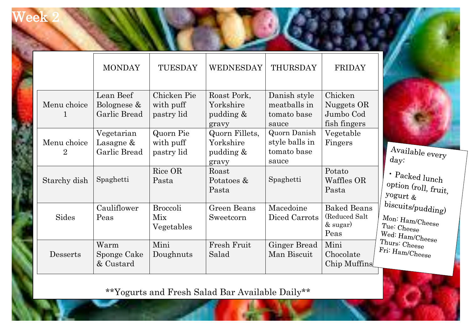## eek

ŧ

|                                | <b>MONDAY</b>                            | TUESDAY                                | WEDNESDAY                                         | THURSDAY                                               | FRIDAY                                                     |                                                                                         |
|--------------------------------|------------------------------------------|----------------------------------------|---------------------------------------------------|--------------------------------------------------------|------------------------------------------------------------|-----------------------------------------------------------------------------------------|
| Menu choice<br>1               | Lean Beef<br>Bolognese &<br>Garlic Bread | Chicken Pie<br>with puff<br>pastry lid | Roast Pork,<br>Yorkshire<br>pudding &<br>gravy    | Danish style<br>meatballs in<br>tomato base<br>sauce   | Chicken<br>Nuggets OR<br>Jumbo Cod<br>fish fingers         |                                                                                         |
| Menu choice<br>$2\overline{ }$ | Vegetarian<br>Lasagne &<br>Garlic Bread  | Quorn Pie<br>with puff<br>pastry lid   | Quorn Fillets,<br>Yorkshire<br>pudding &<br>gravy | Quorn Danish<br>style balls in<br>tomato base<br>sauce | Vegetable<br>Fingers                                       | Available $\rm_{\rm\,}$<br>day:                                                         |
| Starchy dish                   | Spaghetti                                | Rice OR<br>Pasta                       | Roast<br>Potatoes &<br>Pasta                      | Spaghetti                                              | Potato<br>Waffles OR<br>Pasta                              | $\cdot$ Packed lunch<br>option (roll, fruit,<br>yogurt &                                |
| Sides                          | Cauliflower<br>Peas                      | <b>Broccoli</b><br>Mix<br>Vegetables   | Green Beans<br>Sweetcorn                          | Macedoine<br>Diced Carrots                             | <b>Baked Beans</b><br>(Reduced Salt)<br>$&$ sugar)<br>Peas | biscuits/pudding)<br>Mon: Ham/Check<br>Tue: $\mathbf{Cheese}$<br>Wed: $\rm{Ham/Cheese}$ |
| Desserts                       | Warm<br>Sponge Cake<br>& Custard         | Mini<br>Doughnuts                      | Fresh Fruit<br>Salad                              | <b>Ginger Bread</b><br>Man Biscuit                     | Mini<br>Chocolate<br>Chip Muffins                          | Thurs: Cheese<br>$Fri: \text{Ham/Check}$                                                |

\*\*Yogurts and Fresh Salad Bar Available Daily\*\*